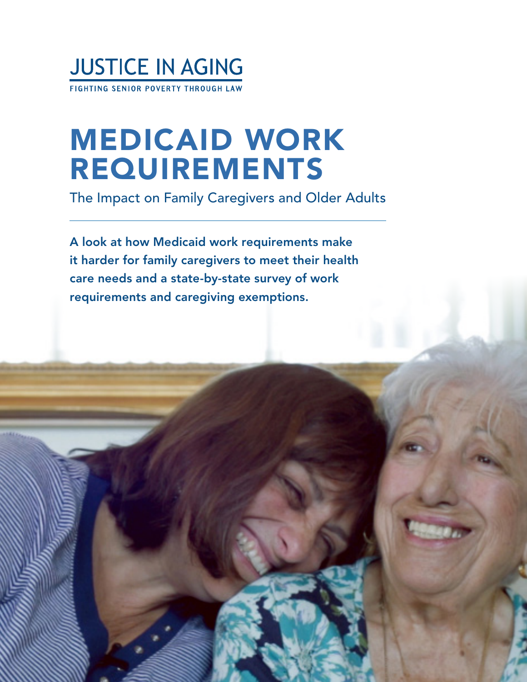

# MEDICAID WORK REQUIREMENTS

The Impact on Family Caregivers and Older Adults

A look at how Medicaid work requirements make it harder for family caregivers to meet their health care needs and a state-by-state survey of work requirements and caregiving exemptions.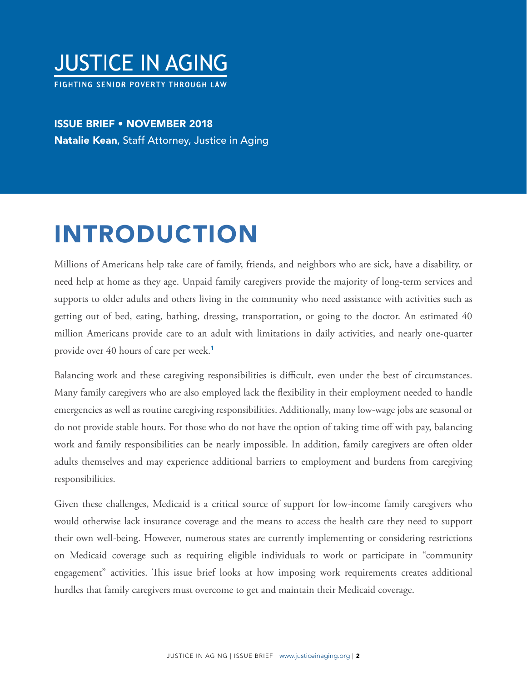## <span id="page-1-0"></span>**JUSTICE IN AGING**

**FIGHTING SENIOR POVERTY THROUGH LAW** 

ISSUE BRIEF • NOVEMBER 2018 Natalie Kean, Staff Attorney, Justice in Aging

# INTRODUCTION

Millions of Americans help take care of family, friends, and neighbors who are sick, have a disability, or need help at home as they age. Unpaid family caregivers provide the majority of long-term services and supports to older adults and others living in the community who need assistance with activities such as getting out of bed, eating, bathing, dressing, transportation, or going to the doctor. An estimated 40 million Americans provide care to an adult with limitations in daily activities, and nearly one-quarter provide over 40 hours of care per week.<sup>[1](#page-14-0)</sup>

Balancing work and these caregiving responsibilities is difficult, even under the best of circumstances. Many family caregivers who are also employed lack the flexibility in their employment needed to handle emergencies as well as routine caregiving responsibilities. Additionally, many low-wage jobs are seasonal or do not provide stable hours. For those who do not have the option of taking time off with pay, balancing work and family responsibilities can be nearly impossible. In addition, family caregivers are often older adults themselves and may experience additional barriers to employment and burdens from caregiving responsibilities.

Given these challenges, Medicaid is a critical source of support for low-income family caregivers who would otherwise lack insurance coverage and the means to access the health care they need to support their own well-being. However, numerous states are currently implementing or considering restrictions on Medicaid coverage such as requiring eligible individuals to work or participate in "community engagement" activities. This issue brief looks at how imposing work requirements creates additional hurdles that family caregivers must overcome to get and maintain their Medicaid coverage.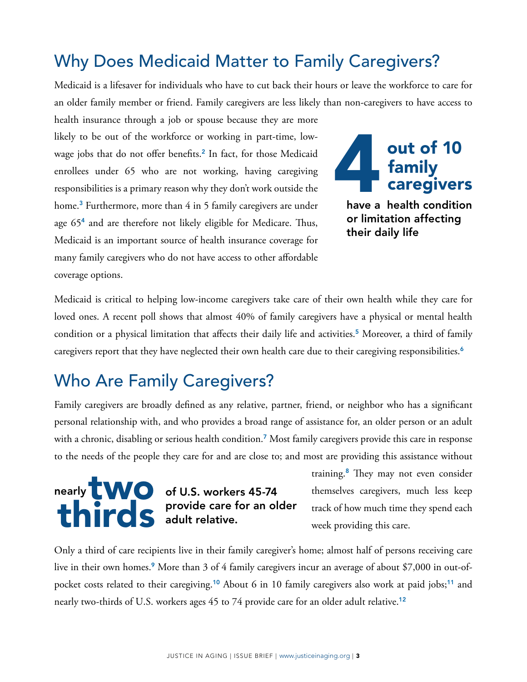#### <span id="page-2-0"></span>Why Does Medicaid Matter to Family Caregivers?

Medicaid is a lifesaver for individuals who have to cut back their hours or leave the workforce to care for an older family member or friend. Family caregivers are less likely than non-caregivers to have access to

health insurance through a job or spouse because they are more likely to be out of the workforce or working in part-time, low-wage jobs that do not offer benefits.<sup>[2](#page-14-0)</sup> In fact, for those Medicaid enrollees under 65 who are not working, having caregiving responsibilities is a primary reason why they don't work outside the home.<sup>[3](#page-14-0)</sup> Furthermore, more than 4 in 5 family caregivers are under age 65[4](#page-14-0) and are therefore not likely eligible for Medicare. Thus, Medicaid is an important source of health insurance coverage for many family caregivers who do not have access to other affordable coverage options.



or limitation affecting their daily life

Medicaid is critical to helping low-income caregivers take care of their own health while they care for loved ones. A recent poll shows that almost 40% of family caregivers have a physical or mental health condition or a physical limitation that affects their daily life and activities.<sup>[5](#page-14-0)</sup> Moreover, a third of family caregivers report that they have neglected their own health care due to their caregiving responsibilities.<sup>[6](#page-14-0)</sup>

#### Who Are Family Caregivers?

Family caregivers are broadly defined as any relative, partner, friend, or neighbor who has a significant personal relationship with, and who provides a broad range of assistance for, an older person or an adult with a chronic, disabling or serious health condition.<sup>[7](#page-14-0)</sup> Most family caregivers provide this care in response to the needs of the people they care for and are close to; and most are providing this assistance without



### nearly  $\Box$   $\Box$  of U.S. workers 45-74 adult relative.

training.[8](#page-14-0) They may not even consider themselves caregivers, much less keep track of how much time they spend each week providing this care.

Only a third of care recipients live in their family caregiver's home; almost half of persons receiving care live in their own homes.<sup>[9](#page-14-0)</sup> More than 3 of 4 family caregivers incur an average of about \$7,000 in out-of-pocket costs related to their caregiving.<sup>[10](#page-14-0)</sup> About 6 in 10 family caregivers also work at paid jobs;<sup>[11](#page-14-0)</sup> and nearly two-thirds of U.S. workers ages 45 to 74 provide care for an older adult relative.<sup>[12](#page-14-0)</sup>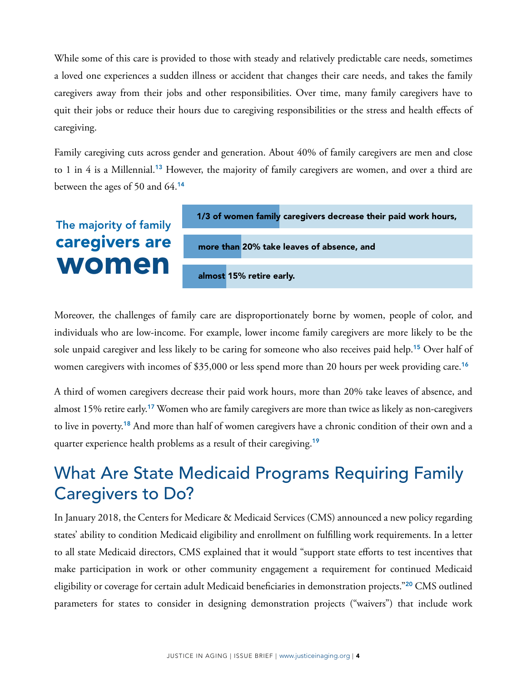<span id="page-3-0"></span>While some of this care is provided to those with steady and relatively predictable care needs, sometimes a loved one experiences a sudden illness or accident that changes their care needs, and takes the family caregivers away from their jobs and other responsibilities. Over time, many family caregivers have to quit their jobs or reduce their hours due to caregiving responsibilities or the stress and health effects of caregiving.

Family caregiving cuts across gender and generation. About 40% of family caregivers are men and close to 1 in 4 is a Millennial.<sup>[13](#page-14-0)</sup> However, the majority of family caregivers are women, and over a third are between the ages of 50 and 64.[14](#page-14-0)



Moreover, the challenges of family care are disproportionately borne by women, people of color, and individuals who are low-income. For example, lower income family caregivers are more likely to be the sole unpaid caregiver and less likely to be caring for someone who also receives paid help.<sup>[15](#page-14-0)</sup> Over half of women caregivers with incomes of \$35,000 or less spend more than 20 hours per week providing care.<sup>[16](#page-14-0)</sup>

A third of women caregivers decrease their paid work hours, more than 20% take leaves of absence, and almost 15% retire early.<sup>[17](#page-14-0)</sup> Women who are family caregivers are more than twice as likely as non-caregivers to live in poverty.<sup>[18](#page-14-0)</sup> And more than half of women caregivers have a chronic condition of their own and a quarter experience health problems as a result of their caregiving.<sup>[19](#page-14-0)</sup>

#### What Are State Medicaid Programs Requiring Family Caregivers to Do?

In January 2018, the Centers for Medicare & Medicaid Services (CMS) announced a new policy regarding states' ability to condition Medicaid eligibility and enrollment on fulfilling work requirements. In a letter to all state Medicaid directors, CMS explained that it would "support state efforts to test incentives that make participation in work or other community engagement a requirement for continued Medicaid eligibility or coverage for certain adult Medicaid beneficiaries in demonstration projects."<sup>[20](#page-14-0)</sup> CMS outlined parameters for states to consider in designing demonstration projects ("waivers") that include work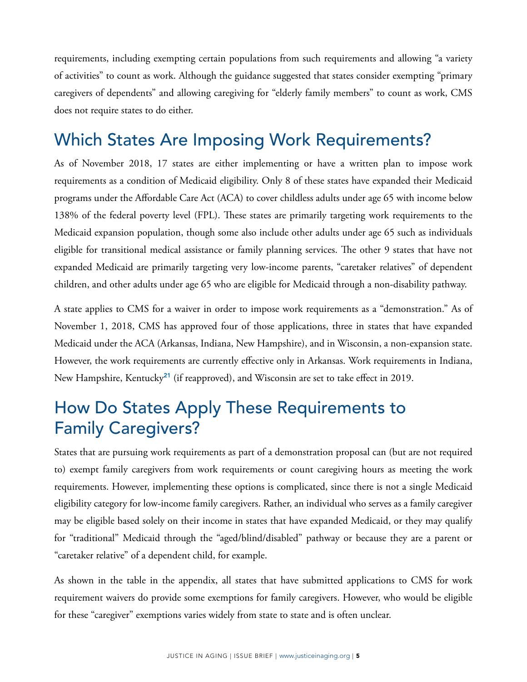<span id="page-4-0"></span>requirements, including exempting certain populations from such requirements and allowing "a variety of activities" to count as work. Although the guidance suggested that states consider exempting "primary caregivers of dependents" and allowing caregiving for "elderly family members" to count as work, CMS does not require states to do either.

#### Which States Are Imposing Work Requirements?

As of November 2018, 17 states are either implementing or have a written plan to impose work requirements as a condition of Medicaid eligibility. Only 8 of these states have expanded their Medicaid programs under the Affordable Care Act (ACA) to cover childless adults under age 65 with income below 138% of the federal poverty level (FPL). These states are primarily targeting work requirements to the Medicaid expansion population, though some also include other adults under age 65 such as individuals eligible for transitional medical assistance or family planning services. The other 9 states that have not expanded Medicaid are primarily targeting very low-income parents, "caretaker relatives" of dependent children, and other adults under age 65 who are eligible for Medicaid through a non-disability pathway.

A state applies to CMS for a waiver in order to impose work requirements as a "demonstration." As of November 1, 2018, CMS has approved four of those applications, three in states that have expanded Medicaid under the ACA (Arkansas, Indiana, New Hampshire), and in Wisconsin, a non-expansion state. However, the work requirements are currently effective only in Arkansas. Work requirements in Indiana, New Hampshire, Kentucky<sup>[21](#page-14-0)</sup> (if reapproved), and Wisconsin are set to take effect in 2019.

#### How Do States Apply These Requirements to Family Caregivers?

States that are pursuing work requirements as part of a demonstration proposal can (but are not required to) exempt family caregivers from work requirements or count caregiving hours as meeting the work requirements. However, implementing these options is complicated, since there is not a single Medicaid eligibility category for low-income family caregivers. Rather, an individual who serves as a family caregiver may be eligible based solely on their income in states that have expanded Medicaid, or they may qualify for "traditional" Medicaid through the "aged/blind/disabled" pathway or because they are a parent or "caretaker relative" of a dependent child, for example.

As shown in the table in the appendix, all states that have submitted applications to CMS for work requirement waivers do provide some exemptions for family caregivers. However, who would be eligible for these "caregiver" exemptions varies widely from state to state and is often unclear.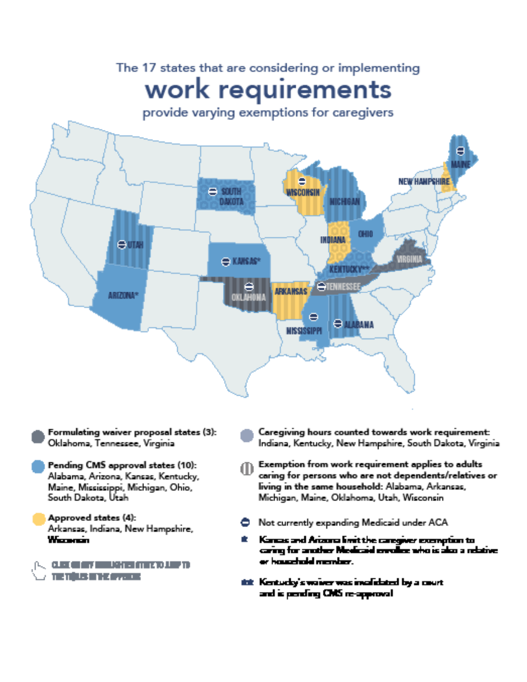### The 17 states that are considering or implementing work requirements

provide varying exemptions for caregivers

<span id="page-5-0"></span>

- Formulating waiver proposal states (3): Oklahoma, Tennessee, Virginia
- Pending CMS approval states (10): Alabama, Arizona, Kansas, Kentucky, Maine, Mississippi, Michigan, Ohio, South Dakota, Utah
- Approved states (4): Arkansas, Indiana, New Hampshire, Wezensin

<u>o Egipt – britin i 190 – 11</u> <u>TEN DE LA BIBLIOTTO DE L</u>

- Caregiving hours counted towards work requirement: Indiana, Kentucky, New Hampshire, South Dakota, Virginia
- $\left(\begin{matrix} \vert \vert \ \vert \end{matrix}\right)$  Exemption from work requirement applies to adults caring for persons who are not dependents/relatives or living in the same household: Alabama, Arkansas, Michigan, Maine, Oklahoma, Utah, Wisconsin
- Not currently expanding Medicaid under ACA
- Kanas and Arizona limit the cangiver exemption to n 7 caring for another Medicald enroller who is also a relative er havedsdel member.
- thit. Kentucky's waver was incafedated by a murt and is pending CMS recoperoral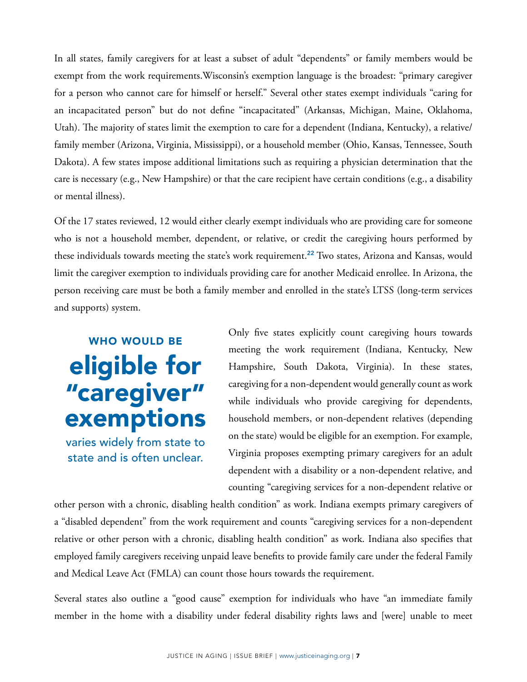<span id="page-6-0"></span>In all states, family caregivers for at least a subset of adult "dependents" or family members would be exempt from the work requirements.Wisconsin's exemption language is the broadest: "primary caregiver for a person who cannot care for himself or herself." Several other states exempt individuals "caring for an incapacitated person" but do not define "incapacitated" (Arkansas, Michigan, Maine, Oklahoma, Utah). The majority of states limit the exemption to care for a dependent (Indiana, Kentucky), a relative/ family member (Arizona, Virginia, Mississippi), or a household member (Ohio, Kansas, Tennessee, South Dakota). A few states impose additional limitations such as requiring a physician determination that the care is necessary (e.g., New Hampshire) or that the care recipient have certain conditions (e.g., a disability or mental illness).

Of the 17 states reviewed, 12 would either clearly exempt individuals who are providing care for someone who is not a household member, dependent, or relative, or credit the caregiving hours performed by these individuals towards meeting the state's work requirement.<sup>[22](#page-14-0)</sup> Two states, Arizona and Kansas, would limit the caregiver exemption to individuals providing care for another Medicaid enrollee. In Arizona, the person receiving care must be both a family member and enrolled in the state's LTSS (long-term services and supports) system.

## WHO WOULD BE eligible for "caregiver" exemptions

varies widely from state to state and is often unclear.

Only five states explicitly count caregiving hours towards meeting the work requirement (Indiana, Kentucky, New Hampshire, South Dakota, Virginia). In these states, caregiving for a non-dependent would generally count as work while individuals who provide caregiving for dependents, household members, or non-dependent relatives (depending on the state) would be eligible for an exemption. For example, Virginia proposes exempting primary caregivers for an adult dependent with a disability or a non-dependent relative, and counting "caregiving services for a non-dependent relative or

other person with a chronic, disabling health condition" as work. Indiana exempts primary caregivers of a "disabled dependent" from the work requirement and counts "caregiving services for a non-dependent relative or other person with a chronic, disabling health condition" as work. Indiana also specifies that employed family caregivers receiving unpaid leave benefits to provide family care under the federal Family and Medical Leave Act (FMLA) can count those hours towards the requirement.

Several states also outline a "good cause" exemption for individuals who have "an immediate family member in the home with a disability under federal disability rights laws and [were] unable to meet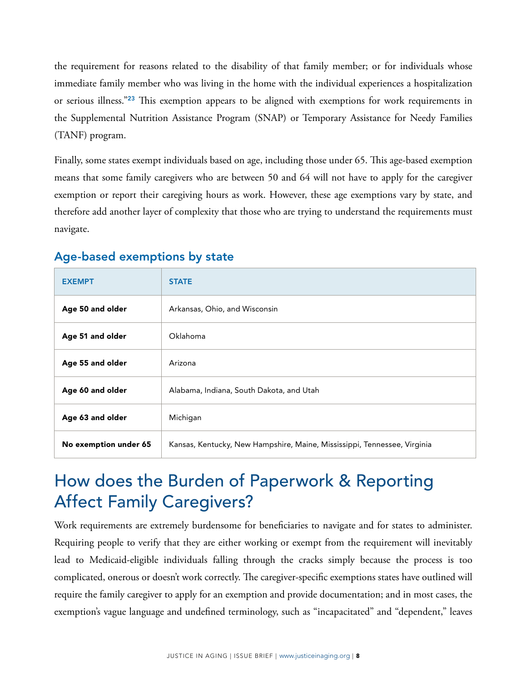<span id="page-7-0"></span>the requirement for reasons related to the disability of that family member; or for individuals whose immediate family member who was living in the home with the individual experiences a hospitalization or serious illness."<sup>[23](#page-14-0)</sup> This exemption appears to be aligned with exemptions for work requirements in the Supplemental Nutrition Assistance Program (SNAP) or Temporary Assistance for Needy Families (TANF) program.

Finally, some states exempt individuals based on age, including those under 65. This age-based exemption means that some family caregivers who are between 50 and 64 will not have to apply for the caregiver exemption or report their caregiving hours as work. However, these age exemptions vary by state, and therefore add another layer of complexity that those who are trying to understand the requirements must navigate.

| <b>EXEMPT</b>         | <b>STATE</b>                                                             |
|-----------------------|--------------------------------------------------------------------------|
| Age 50 and older      | Arkansas, Ohio, and Wisconsin                                            |
| Age 51 and older      | Oklahoma                                                                 |
| Age 55 and older      | Arizona                                                                  |
| Age 60 and older      | Alabama, Indiana, South Dakota, and Utah                                 |
| Age 63 and older      | Michigan                                                                 |
| No exemption under 65 | Kansas, Kentucky, New Hampshire, Maine, Mississippi, Tennessee, Virginia |

#### Age-based exemptions by state

### How does the Burden of Paperwork & Reporting Affect Family Caregivers?

Work requirements are extremely burdensome for beneficiaries to navigate and for states to administer. Requiring people to verify that they are either working or exempt from the requirement will inevitably lead to Medicaid-eligible individuals falling through the cracks simply because the process is too complicated, onerous or doesn't work correctly. The caregiver-specific exemptions states have outlined will require the family caregiver to apply for an exemption and provide documentation; and in most cases, the exemption's vague language and undefined terminology, such as "incapacitated" and "dependent," leaves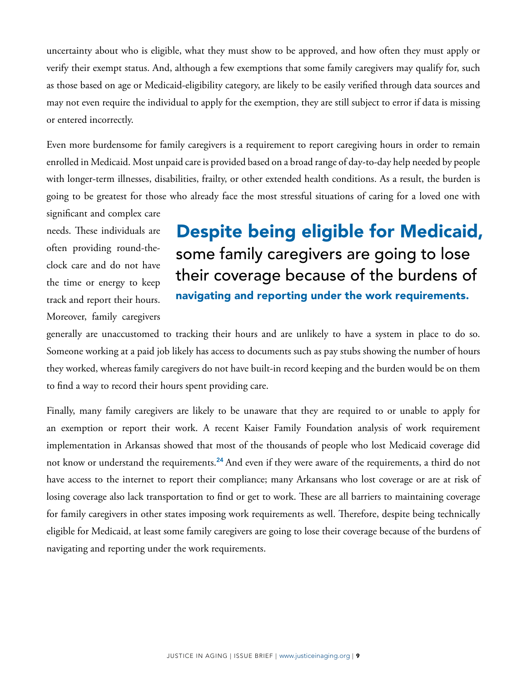<span id="page-8-0"></span>uncertainty about who is eligible, what they must show to be approved, and how often they must apply or verify their exempt status. And, although a few exemptions that some family caregivers may qualify for, such as those based on age or Medicaid-eligibility category, are likely to be easily verified through data sources and may not even require the individual to apply for the exemption, they are still subject to error if data is missing or entered incorrectly.

Even more burdensome for family caregivers is a requirement to report caregiving hours in order to remain enrolled in Medicaid. Most unpaid care is provided based on a broad range of day-to-day help needed by people with longer-term illnesses, disabilities, frailty, or other extended health conditions. As a result, the burden is going to be greatest for those who already face the most stressful situations of caring for a loved one with

significant and complex care needs. These individuals are often providing round-theclock care and do not have the time or energy to keep track and report their hours. Moreover, family caregivers

their coverage because of the burdens of navigating and reporting under the work requirements. Despite being eligible for Medicaid, some family caregivers are going to lose

generally are unaccustomed to tracking their hours and are unlikely to have a system in place to do so. Someone working at a paid job likely has access to documents such as pay stubs showing the number of hours they worked, whereas family caregivers do not have built-in record keeping and the burden would be on them to find a way to record their hours spent providing care.

Finally, many family caregivers are likely to be unaware that they are required to or unable to apply for an exemption or report their work. A recent Kaiser Family Foundation analysis of work requirement implementation in Arkansas showed that most of the thousands of people who lost Medicaid coverage did not know or understand the requirements.<sup>[24](#page-14-0)</sup> And even if they were aware of the requirements, a third do not have access to the internet to report their compliance; many Arkansans who lost coverage or are at risk of losing coverage also lack transportation to find or get to work. These are all barriers to maintaining coverage for family caregivers in other states imposing work requirements as well. Therefore, despite being technically eligible for Medicaid, at least some family caregivers are going to lose their coverage because of the burdens of navigating and reporting under the work requirements.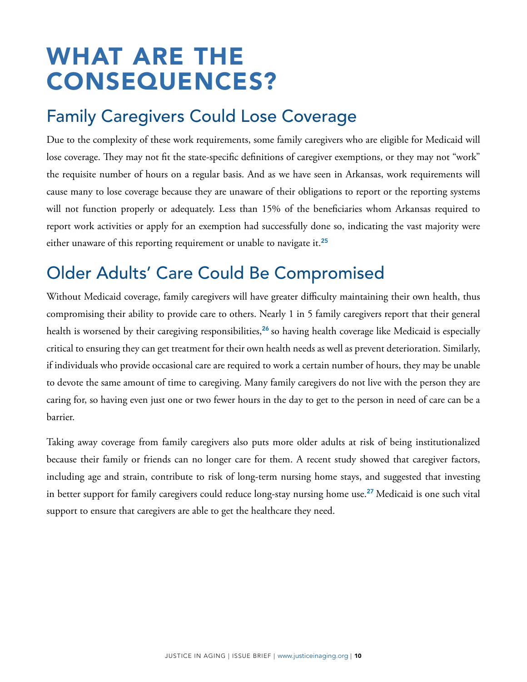## <span id="page-9-0"></span>WHAT ARE THE CONSEQUENCES?

### Family Caregivers Could Lose Coverage

Due to the complexity of these work requirements, some family caregivers who are eligible for Medicaid will lose coverage. They may not fit the state-specific definitions of caregiver exemptions, or they may not "work" the requisite number of hours on a regular basis. And as we have seen in Arkansas, work requirements will cause many to lose coverage because they are unaware of their obligations to report or the reporting systems will not function properly or adequately. Less than 15% of the beneficiaries whom Arkansas required to report work activities or apply for an exemption had successfully done so, indicating the vast majority were either unaware of this reporting requirement or unable to navigate it.<sup>[25](#page-14-0)</sup>

### Older Adults' Care Could Be Compromised

Without Medicaid coverage, family caregivers will have greater difficulty maintaining their own health, thus compromising their ability to provide care to others. Nearly 1 in 5 family caregivers report that their general health is worsened by their caregiving responsibilities,<sup>[26](#page-14-0)</sup> so having health coverage like Medicaid is especially critical to ensuring they can get treatment for their own health needs as well as prevent deterioration. Similarly, if individuals who provide occasional care are required to work a certain number of hours, they may be unable to devote the same amount of time to caregiving. Many family caregivers do not live with the person they are caring for, so having even just one or two fewer hours in the day to get to the person in need of care can be a barrier.

Taking away coverage from family caregivers also puts more older adults at risk of being institutionalized because their family or friends can no longer care for them. A recent study showed that caregiver factors, including age and strain, contribute to risk of long-term nursing home stays, and suggested that investing in better support for family caregivers could reduce long-stay nursing home use.<sup>[27](#page-14-0)</sup> Medicaid is one such vital support to ensure that caregivers are able to get the healthcare they need.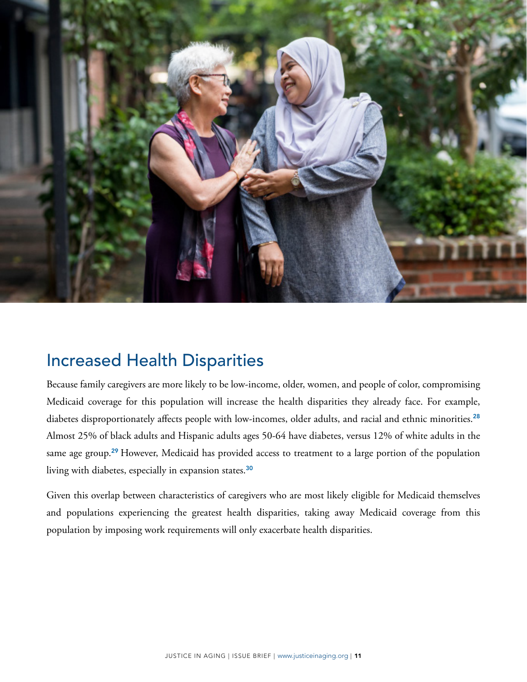<span id="page-10-0"></span>

#### Increased Health Disparities

Because family caregivers are more likely to be low-income, older, women, and people of color, compromising Medicaid coverage for this population will increase the health disparities they already face. For example, diabetes disproportionately affects people with low-incomes, older adults, and racial and ethnic minorities.<sup>[28](#page-14-0)</sup> Almost 25% of black adults and Hispanic adults ages 50-64 have diabetes, versus 12% of white adults in the same age group.<sup>[29](#page-14-0)</sup> However, Medicaid has provided access to treatment to a large portion of the population living with diabetes, especially in expansion states.<sup>[30](#page-14-0)</sup>

Given this overlap between characteristics of caregivers who are most likely eligible for Medicaid themselves and populations experiencing the greatest health disparities, taking away Medicaid coverage from this population by imposing work requirements will only exacerbate health disparities.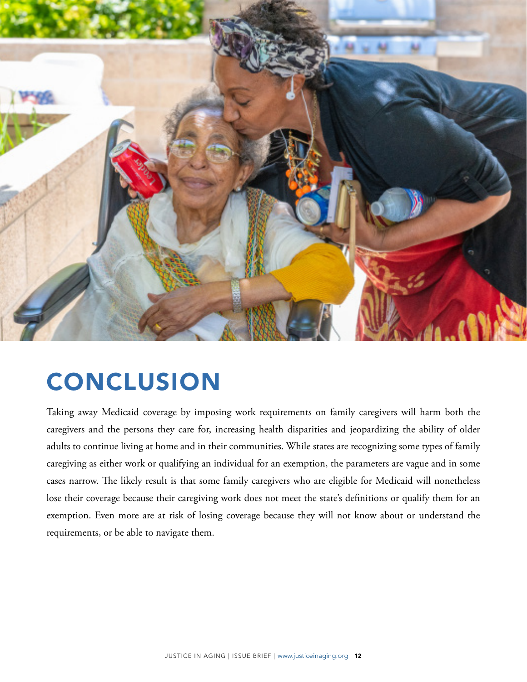

## CONCLUSION

Taking away Medicaid coverage by imposing work requirements on family caregivers will harm both the caregivers and the persons they care for, increasing health disparities and jeopardizing the ability of older adults to continue living at home and in their communities. While states are recognizing some types of family caregiving as either work or qualifying an individual for an exemption, the parameters are vague and in some cases narrow. The likely result is that some family caregivers who are eligible for Medicaid will nonetheless lose their coverage because their caregiving work does not meet the state's definitions or qualify them for an exemption. Even more are at risk of losing coverage because they will not know about or understand the requirements, or be able to navigate them.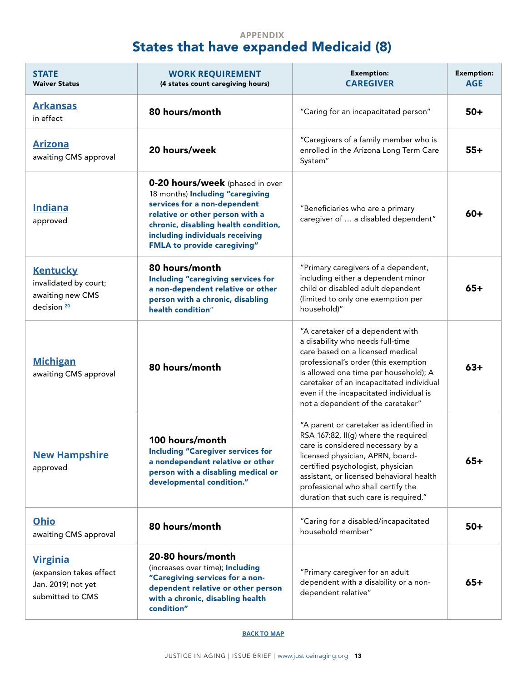#### **APPENDIX**

#### States that have expanded Medicaid (8)

| <b>STATE</b><br><b>Waiver Status</b>                                                   | <b>WORK REQUIREMENT</b><br>(4 states count caregiving hours)                                                                                                                                                                                            | <b>Exemption:</b><br><b>CAREGIVER</b>                                                                                                                                                                                                                                                                                    | <b>Exemption:</b><br><b>AGE</b> |
|----------------------------------------------------------------------------------------|---------------------------------------------------------------------------------------------------------------------------------------------------------------------------------------------------------------------------------------------------------|--------------------------------------------------------------------------------------------------------------------------------------------------------------------------------------------------------------------------------------------------------------------------------------------------------------------------|---------------------------------|
| <b>Arkansas</b><br>in effect                                                           | 80 hours/month                                                                                                                                                                                                                                          | "Caring for an incapacitated person"                                                                                                                                                                                                                                                                                     | $50+$                           |
| <u>Arizona</u><br>awaiting CMS approval                                                | 20 hours/week                                                                                                                                                                                                                                           | "Caregivers of a family member who is<br>enrolled in the Arizona Long Term Care<br>System"                                                                                                                                                                                                                               | $55+$                           |
| <b>Indiana</b><br>approved                                                             | 0-20 hours/week (phased in over<br>18 months) Including "caregiving<br>services for a non-dependent<br>relative or other person with a<br>chronic, disabling health condition,<br>including individuals receiving<br><b>FMLA to provide caregiving"</b> | "Beneficiaries who are a primary<br>caregiver of  a disabled dependent"                                                                                                                                                                                                                                                  | $60+$                           |
| <b>Kentucky</b><br>invalidated by court;<br>awaiting new CMS<br>decision <sup>20</sup> | 80 hours/month<br><b>Including "caregiving services for</b><br>a non-dependent relative or other<br>person with a chronic, disabling<br>health condition"                                                                                               | "Primary caregivers of a dependent,<br>including either a dependent minor<br>child or disabled adult dependent<br>(limited to only one exemption per<br>household)"                                                                                                                                                      | $65+$                           |
| <b>Michigan</b><br>awaiting CMS approval                                               | 80 hours/month                                                                                                                                                                                                                                          | "A caretaker of a dependent with<br>a disability who needs full-time<br>care based on a licensed medical<br>professional's order (this exemption<br>is allowed one time per household); A<br>caretaker of an incapacitated individual<br>even if the incapacitated individual is<br>not a dependent of the caretaker"    | $63+$                           |
| <b>New Hampshire</b><br>approved                                                       | 100 hours/month<br><b>Including "Caregiver services for</b><br>a nondependent relative or other<br>person with a disabling medical or<br>developmental condition."                                                                                      | "A parent or caretaker as identified in<br>RSA 167:82, II(g) where the required<br>care is considered necessary by a<br>licensed physician, APRN, board-<br>certified psychologist, physician<br>assistant, or licensed behavioral health<br>professional who shall certify the<br>duration that such care is required." | $65+$                           |
| <b>Ohio</b><br>awaiting CMS approval                                                   | 80 hours/month                                                                                                                                                                                                                                          | "Caring for a disabled/incapacitated<br>household member"                                                                                                                                                                                                                                                                | $50+$                           |
| <u>Virginia</u><br>(expansion takes effect<br>Jan. 2019) not yet<br>submitted to CMS   | 20-80 hours/month<br>(increases over time); Including<br>"Caregiving services for a non-<br>dependent relative or other person<br>with a chronic, disabling health<br>condition"                                                                        | "Primary caregiver for an adult<br>dependent with a disability or a non-<br>dependent relative"                                                                                                                                                                                                                          | $65+$                           |

**[BACK TO MAP](#page-5-0)**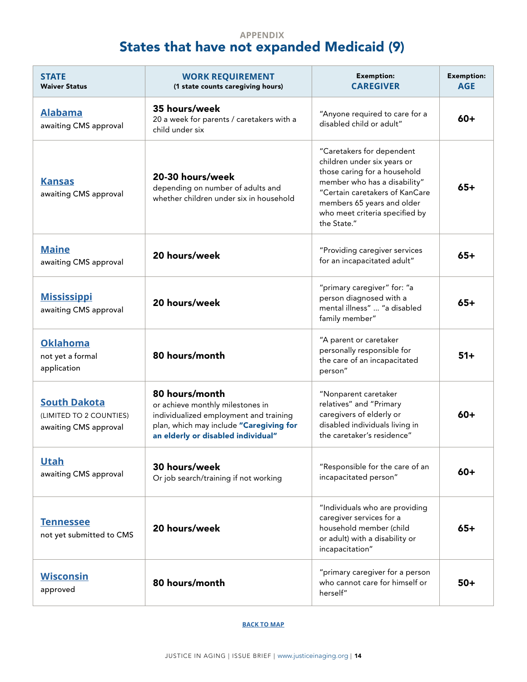#### **APPENDIX**

#### States that have not expanded Medicaid (9)

| <b>STATE</b><br><b>Waiver Status</b>                                    | <b>WORK REQUIREMENT</b><br>(1 state counts caregiving hours)                                                                                                                  | <b>Exemption:</b><br><b>CAREGIVER</b>                                                                                                                                                                                                     | <b>Exemption:</b><br><b>AGE</b> |
|-------------------------------------------------------------------------|-------------------------------------------------------------------------------------------------------------------------------------------------------------------------------|-------------------------------------------------------------------------------------------------------------------------------------------------------------------------------------------------------------------------------------------|---------------------------------|
| <b>Alabama</b><br>awaiting CMS approval                                 | 35 hours/week<br>20 a week for parents / caretakers with a<br>child under six                                                                                                 | "Anyone required to care for a<br>disabled child or adult"                                                                                                                                                                                | $60+$                           |
| <b>Kansas</b><br>awaiting CMS approval                                  | 20-30 hours/week<br>depending on number of adults and<br>whether children under six in household                                                                              | "Caretakers for dependent<br>children under six years or<br>those caring for a household<br>member who has a disability"<br>"Certain caretakers of KanCare<br>members 65 years and older<br>who meet criteria specified by<br>the State." | $65+$                           |
| <b>Maine</b><br>awaiting CMS approval                                   | 20 hours/week                                                                                                                                                                 | "Providing caregiver services<br>for an incapacitated adult"                                                                                                                                                                              | $65+$                           |
| <b>Mississippi</b><br>awaiting CMS approval                             | 20 hours/week                                                                                                                                                                 | "primary caregiver" for: "a<br>person diagnosed with a<br>mental illness"  "a disabled<br>family member"                                                                                                                                  | $65+$                           |
| <b>Oklahoma</b><br>not yet a formal<br>application                      | 80 hours/month                                                                                                                                                                | "A parent or caretaker<br>personally responsible for<br>the care of an incapacitated<br>person"                                                                                                                                           | $51+$                           |
| <b>South Dakota</b><br>(LIMITED TO 2 COUNTIES)<br>awaiting CMS approval | 80 hours/month<br>or achieve monthly milestones in<br>individualized employment and training<br>plan, which may include "Caregiving for<br>an elderly or disabled individual" | "Nonparent caretaker<br>relatives" and "Primary<br>caregivers of elderly or<br>disabled individuals living in<br>the caretaker's residence"                                                                                               | 60+                             |
| <b>Utah</b><br>awaiting CMS approval                                    | 30 hours/week<br>Or job search/training if not working                                                                                                                        | "Responsible for the care of an<br>incapacitated person"                                                                                                                                                                                  | 60+                             |
| <b>Tennessee</b><br>not yet submitted to CMS                            | 20 hours/week                                                                                                                                                                 | "Individuals who are providing<br>caregiver services for a<br>household member (child<br>or adult) with a disability or<br>incapacitation"                                                                                                | $65+$                           |
| <b>Wisconsin</b><br>approved                                            | 80 hours/month                                                                                                                                                                | "primary caregiver for a person<br>who cannot care for himself or<br>herself"                                                                                                                                                             | $50+$                           |

**[BACK TO MAP](#page-5-0)**